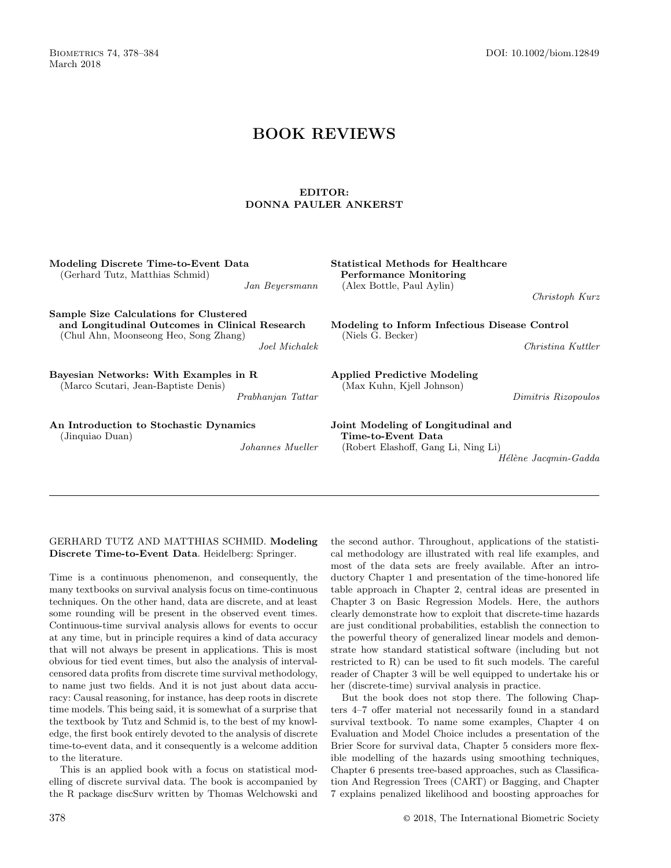March 2018

# **BOOK REVIEWS**

## **EDITOR: DONNA PAULER ANKERST**

| Modeling Discrete Time-to-Event Data<br>(Gerhard Tutz, Matthias Schmid)<br>Jan Beyersmann                                                          | <b>Statistical Methods for Healthcare</b><br>Performance Monitoring<br>(Alex Bottle, Paul Aylin)<br>Christoph Kurz |
|----------------------------------------------------------------------------------------------------------------------------------------------------|--------------------------------------------------------------------------------------------------------------------|
| Sample Size Calculations for Clustered<br>and Longitudinal Outcomes in Clinical Research<br>(Chul Ahn, Moonseong Heo, Song Zhang)<br>Joel Michalek | Modeling to Inform Infectious Disease Control<br>(Niels G. Becker)<br>Christina Kuttler                            |
| Bayesian Networks: With Examples in R                                                                                                              | Applied Predictive Modeling                                                                                        |
| (Marco Scutari, Jean-Baptiste Denis)                                                                                                               | (Max Kuhn, Kjell Johnson)                                                                                          |
| Prabhanjan Tattar                                                                                                                                  | Dimitris Rizopoulos                                                                                                |
| An Introduction to Stochastic Dynamics                                                                                                             | Joint Modeling of Longitudinal and                                                                                 |
| (Jinquiao Duan)                                                                                                                                    | Time-to-Event Data                                                                                                 |

Johannes Mueller

### GERHARD TUTZ AND MATTHIAS SCHMID. **Modeling Discrete Time-to-Event Data**. Heidelberg: Springer.

Time is a continuous phenomenon, and consequently, the many textbooks on survival analysis focus on time-continuous techniques. On the other hand, data are discrete, and at least some rounding will be present in the observed event times. Continuous-time survival analysis allows for events to occur at any time, but in principle requires a kind of data accuracy that will not always be present in applications. This is most obvious for tied event times, but also the analysis of intervalcensored data profits from discrete time survival methodology, to name just two fields. And it is not just about data accuracy: Causal reasoning, for instance, has deep roots in discrete time models. This being said, it is somewhat of a surprise that the textbook by Tutz and Schmid is, to the best of my knowledge, the first book entirely devoted to the analysis of discrete time-to-event data, and it consequently is a welcome addition to the literature.

This is an applied book with a focus on statistical modelling of discrete survival data. The book is accompanied by the R package discSurv written by Thomas Welchowski and the second author. Throughout, applications of the statistical methodology are illustrated with real life examples, and most of the data sets are freely available. After an introductory Chapter 1 and presentation of the time-honored life table approach in Chapter 2, central ideas are presented in Chapter 3 on Basic Regression Models. Here, the authors clearly demonstrate how to exploit that discrete-time hazards are just conditional probabilities, establish the connection to the powerful theory of generalized linear models and demonstrate how standard statistical software (including but not restricted to R) can be used to fit such models. The careful reader of Chapter 3 will be well equipped to undertake his or her (discrete-time) survival analysis in practice.

(Robert Elashoff, Gang Li, Ning Li)

But the book does not stop there. The following Chapters 4–7 offer material not necessarily found in a standard survival textbook. To name some examples, Chapter 4 on Evaluation and Model Choice includes a presentation of the Brier Score for survival data, Chapter 5 considers more flexible modelling of the hazards using smoothing techniques, Chapter 6 presents tree-based approaches, such as Classification And Regression Trees (CART) or Bagging, and Chapter 7 explains penalized likelihood and boosting approaches for

Hélène Jacqmin-Gadda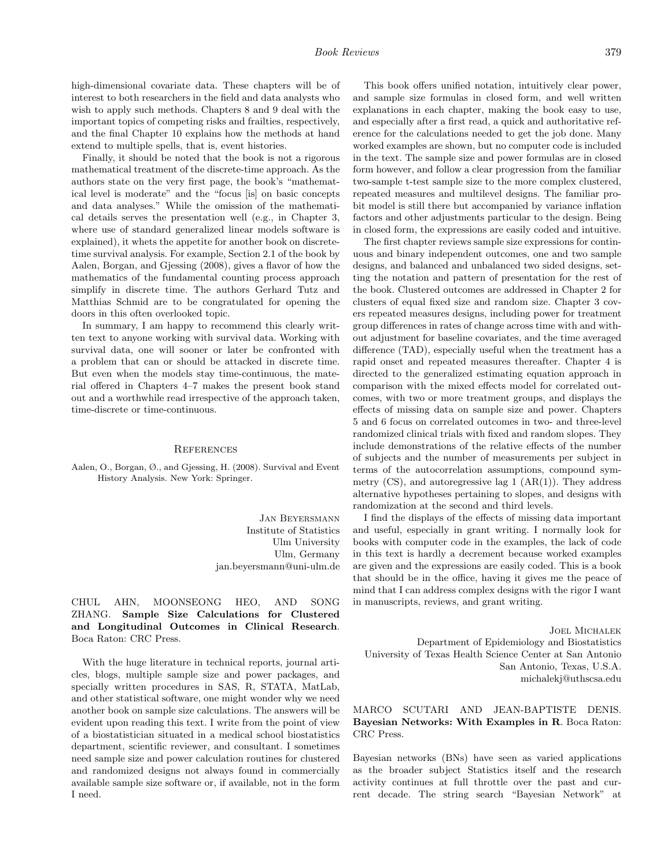<span id="page-1-0"></span>high-dimensional covariate data. These chapters will be of interest to both researchers in the field and data analysts who wish to apply such methods. Chapters 8 and 9 deal with the important topics of competing risks and frailties, respectively, and the final Chapter 10 explains how the methods at hand extend to multiple spells, that is, event histories.

Finally, it should be noted that the book is not a rigorous mathematical treatment of the discrete-time approach. As the authors state on the very first page, the book's "mathematical level is moderate" and the "focus [is] on basic concepts and data analyses." While the omission of the mathematical details serves the presentation well (e.g., in Chapter 3, where use of standard generalized linear models software is explained), it whets the appetite for another book on discretetime survival analysis. For example, Section 2.1 of the book by Aalen, Borgan, and Gjessing (2008), gives a flavor of how the mathematics of the fundamental counting process approach simplify in discrete time. The authors Gerhard Tutz and Matthias Schmid are to be congratulated for opening the doors in this often overlooked topic.

In summary, I am happy to recommend this clearly written text to anyone working with survival data. Working with survival data, one will sooner or later be confronted with a problem that can or should be attacked in discrete time. But even when the models stay time-continuous, the material offered in Chapters 4–7 makes the present book stand out and a worthwhile read irrespective of the approach taken, time-discrete or time-continuous.

#### **REFERENCES**

Aalen, O., Borgan, Ø., and Gjessing, H. (2008). Survival and Event History Analysis. New York: Springer.

> Jan Beyersmann Institute of Statistics Ulm University Ulm, Germany jan.beyersmann@uni-ulm.de

CHUL AHN, MOONSEONG HEO, AND SONG ZHANG. **Sample Size Calculations for Clustered and Longitudinal Outcomes in Clinical Research**. Boca Raton: CRC Press.

With the huge literature in technical reports, journal articles, blogs, multiple sample size and power packages, and specially written procedures in SAS, R, STATA, MatLab, and other statistical software, one might wonder why we need another book on sample size calculations. The answers will be evident upon reading this text. I write from the point of view of a biostatistician situated in a medical school biostatistics department, scientific reviewer, and consultant. I sometimes need sample size and power calculation routines for clustered and randomized designs not always found in commercially available sample size software or, if available, not in the form I need.

This book offers unified notation, intuitively clear power, and sample size formulas in closed form, and well written explanations in each chapter, making the book easy to use, and especially after a first read, a quick and authoritative reference for the calculations needed to get the job done. Many worked examples are shown, but no computer code is included in the text. The sample size and power formulas are in closed form however, and follow a clear progression from the familiar two-sample t-test sample size to the more complex clustered, repeated measures and multilevel designs. The familiar probit model is still there but accompanied by variance inflation factors and other adjustments particular to the design. Being in closed form, the expressions are easily coded and intuitive.

The first chapter reviews sample size expressions for continuous and binary independent outcomes, one and two sample designs, and balanced and unbalanced two sided designs, setting the notation and pattern of presentation for the rest of the book. Clustered outcomes are addressed in Chapter 2 for clusters of equal fixed size and random size. Chapter 3 covers repeated measures designs, including power for treatment group differences in rates of change across time with and without adjustment for baseline covariates, and the time averaged difference (TAD), especially useful when the treatment has a rapid onset and repeated measures thereafter. Chapter 4 is directed to the generalized estimating equation approach in comparison with the mixed effects model for correlated outcomes, with two or more treatment groups, and displays the effects of missing data on sample size and power. Chapters 5 and 6 focus on correlated outcomes in two- and three-level randomized clinical trials with fixed and random slopes. They include demonstrations of the relative effects of the number of subjects and the number of measurements per subject in terms of the autocorrelation assumptions, compound symmetry (CS), and autoregressive lag 1 (AR(1)). They address alternative hypotheses pertaining to slopes, and designs with randomization at the second and third levels.

I find the displays of the effects of missing data important and useful, especially in grant writing. I normally look for books with computer code in the examples, the lack of code in this text is hardly a decrement because worked examples are given and the expressions are easily coded. This is a book that should be in the office, having it gives me the peace of mind that I can address complex designs with the rigor I want in manuscripts, reviews, and grant writing.

Joel Michalek Department of Epidemiology and Biostatistics University of Texas Health Science Center at San Antonio San Antonio, Texas, U.S.A. michalekj@uthscsa.edu

MARCO SCUTARI AND JEAN-BAPTISTE DENIS. **Bayesian Networks: With Examples in R**. Boca Raton: CRC Press.

Bayesian networks (BNs) have seen as varied applications as the broader subject Statistics itself and the research activity continues at full throttle over the past and current decade. The string search "Bayesian Network" at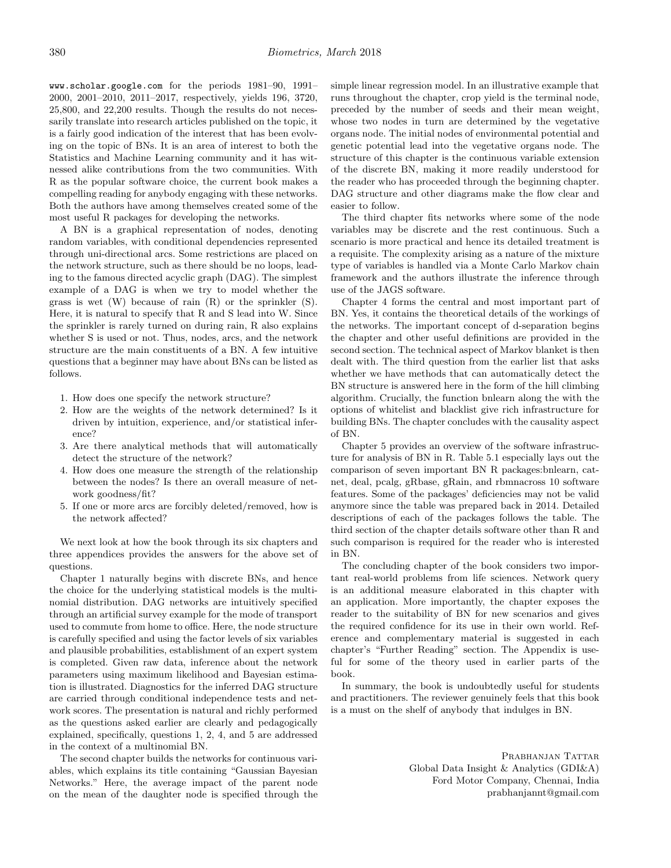www.scholar.google.com for the periods 1981–90, 1991– 2000, 2001–2010, 2011–2017, respectively, yields 196, 3720, 25,800, and 22,200 results. Though the results do not necessarily translate into research articles published on the topic, it is a fairly good indication of the interest that has been evolving on the topic of BNs. It is an area of interest to both the Statistics and Machine Learning community and it has witnessed alike contributions from the two communities. With R as the popular software choice, the current book makes a compelling reading for anybody engaging with these networks. Both the authors have among themselves created some of the most useful R packages for developing the networks.

A BN is a graphical representation of nodes, denoting random variables, with conditional dependencies represented through uni-directional arcs. Some restrictions are placed on the network structure, such as there should be no loops, leading to the famous directed acyclic graph (DAG). The simplest example of a DAG is when we try to model whether the grass is wet (W) because of rain (R) or the sprinkler (S). Here, it is natural to specify that R and S lead into W. Since the sprinkler is rarely turned on during rain, R also explains whether S is used or not. Thus, nodes, arcs, and the network structure are the main constituents of a BN. A few intuitive questions that a beginner may have about BNs can be listed as follows.

- 1. How does one specify the network structure?
- 2. How are the weights of the network determined? Is it driven by intuition, experience, and/or statistical inference?
- 3. Are there analytical methods that will automatically detect the structure of the network?
- 4. How does one measure the strength of the relationship between the nodes? Is there an overall measure of network goodness/fit?
- 5. If one or more arcs are forcibly deleted/removed, how is the network affected?

We next look at how the book through its six chapters and three appendices provides the answers for the above set of questions.

Chapter 1 naturally begins with discrete BNs, and hence the choice for the underlying statistical models is the multinomial distribution. DAG networks are intuitively specified through an artificial survey example for the mode of transport used to commute from home to office. Here, the node structure is carefully specified and using the factor levels of six variables and plausible probabilities, establishment of an expert system is completed. Given raw data, inference about the network parameters using maximum likelihood and Bayesian estimation is illustrated. Diagnostics for the inferred DAG structure are carried through conditional independence tests and network scores. The presentation is natural and richly performed as the questions asked earlier are clearly and pedagogically explained, specifically, questions 1, 2, 4, and 5 are addressed in the context of a multinomial BN.

The second chapter builds the networks for continuous variables, which explains its title containing "Gaussian Bayesian Networks." Here, the average impact of the parent node on the mean of the daughter node is specified through the

simple linear regression model. In an illustrative example that runs throughout the chapter, crop yield is the terminal node, preceded by the number of seeds and their mean weight, whose two nodes in turn are determined by the vegetative organs node. The initial nodes of environmental potential and genetic potential lead into the vegetative organs node. The structure of this chapter is the continuous variable extension of the discrete BN, making it more readily understood for the reader who has proceeded through the beginning chapter. DAG structure and other diagrams make the flow clear and easier to follow.

The third chapter fits networks where some of the node variables may be discrete and the rest continuous. Such a scenario is more practical and hence its detailed treatment is a requisite. The complexity arising as a nature of the mixture type of variables is handled via a Monte Carlo Markov chain framework and the authors illustrate the inference through use of the JAGS software.

Chapter 4 forms the central and most important part of BN. Yes, it contains the theoretical details of the workings of the networks. The important concept of d-separation begins the chapter and other useful definitions are provided in the second section. The technical aspect of Markov blanket is then dealt with. The third question from the earlier list that asks whether we have methods that can automatically detect the BN structure is answered here in the form of the hill climbing algorithm. Crucially, the function bnlearn along the with the options of whitelist and blacklist give rich infrastructure for building BNs. The chapter concludes with the causality aspect of BN.

Chapter 5 provides an overview of the software infrastructure for analysis of BN in R. Table 5.1 especially lays out the comparison of seven important BN R packages:bnlearn, catnet, deal, pcalg, gRbase, gRain, and rbmnacross 10 software features. Some of the packages' deficiencies may not be valid anymore since the table was prepared back in 2014. Detailed descriptions of each of the packages follows the table. The third section of the chapter details software other than R and such comparison is required for the reader who is interested in BN.

The concluding chapter of the book considers two important real-world problems from life sciences. Network query is an additional measure elaborated in this chapter with an application. More importantly, the chapter exposes the reader to the suitability of BN for new scenarios and gives the required confidence for its use in their own world. Reference and complementary material is suggested in each chapter's "Further Reading" section. The Appendix is useful for some of the theory used in earlier parts of the book.

In summary, the book is undoubtedly useful for students and practitioners. The reviewer genuinely feels that this book is a must on the shelf of anybody that indulges in BN.

> PRABHANJAN TATTAR Global Data Insight & Analytics (GDI&A) Ford Motor Company, Chennai, India prabhanjannt@gmail.com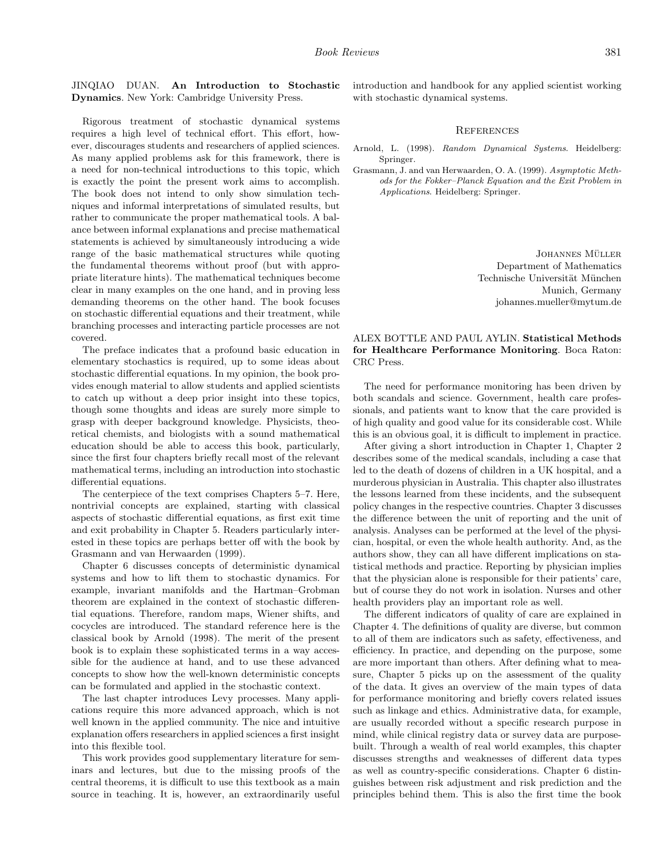Rigorous treatment of stochastic dynamical systems requires a high level of technical effort. This effort, however, discourages students and researchers of applied sciences. As many applied problems ask for this framework, there is a need for non-technical introductions to this topic, which is exactly the point the present work aims to accomplish. The book does not intend to only show simulation techniques and informal interpretations of simulated results, but rather to communicate the proper mathematical tools. A balance between informal explanations and precise mathematical statements is achieved by simultaneously introducing a wide range of the basic mathematical structures while quoting the fundamental theorems without proof (but with appropriate literature hints). The mathematical techniques become clear in many examples on the one hand, and in proving less demanding theorems on the other hand. The book focuses on stochastic differential equations and their treatment, while branching processes and interacting particle processes are not covered.

The preface indicates that a profound basic education in elementary stochastics is required, up to some ideas about stochastic differential equations. In my opinion, the book provides enough material to allow students and applied scientists to catch up without a deep prior insight into these topics, though some thoughts and ideas are surely more simple to grasp with deeper background knowledge. Physicists, theoretical chemists, and biologists with a sound mathematical education should be able to access this book, particularly, since the first four chapters briefly recall most of the relevant mathematical terms, including an introduction into stochastic differential equations.

The centerpiece of the text comprises Chapters 5–7. Here, nontrivial concepts are explained, starting with classical aspects of stochastic differential equations, as first exit time and exit probability in Chapter 5. Readers particularly interested in these topics are perhaps better off with the book by [Grasmann and van Herwaarden \(1999\).](#page-1-0)

Chapter 6 discusses concepts of deterministic dynamical systems and how to lift them to stochastic dynamics. For example, invariant manifolds and the Hartman–Grobman theorem are explained in the context of stochastic differential equations. Therefore, random maps, Wiener shifts, and cocycles are introduced. The standard reference here is the classical book by Arnold (1998). The merit of the present book is to explain these sophisticated terms in a way accessible for the audience at hand, and to use these advanced concepts to show how the well-known deterministic concepts can be formulated and applied in the stochastic context.

The last chapter introduces Levy processes. Many applications require this more advanced approach, which is not well known in the applied community. The nice and intuitive explanation offers researchers in applied sciences a first insight into this flexible tool.

This work provides good supplementary literature for seminars and lectures, but due to the missing proofs of the central theorems, it is difficult to use this textbook as a main source in teaching. It is, however, an extraordinarily useful introduction and handbook for any applied scientist working with stochastic dynamical systems.

#### **REFERENCES**

Arnold, L. (1998). Random Dynamical Systems. Heidelberg: Springer.

Grasmann, J. and van Herwaarden, O. A. (1999). Asymptotic Methods for the Fokker–Planck Equation and the Exit Problem in Applications. Heidelberg: Springer.

> JOHANNES MÜLLER Department of Mathematics Technische Universität München Munich, Germany johannes.mueller@mytum.de

### ALEX BOTTLE AND PAUL AYLIN. **Statistical Methods for Healthcare Performance Monitoring**. Boca Raton: CRC Press.

The need for performance monitoring has been driven by both scandals and science. Government, health care professionals, and patients want to know that the care provided is of high quality and good value for its considerable cost. While this is an obvious goal, it is difficult to implement in practice.

After giving a short introduction in Chapter 1, Chapter 2 describes some of the medical scandals, including a case that led to the death of dozens of children in a UK hospital, and a murderous physician in Australia. This chapter also illustrates the lessons learned from these incidents, and the subsequent policy changes in the respective countries. Chapter 3 discusses the difference between the unit of reporting and the unit of analysis. Analyses can be performed at the level of the physician, hospital, or even the whole health authority. And, as the authors show, they can all have different implications on statistical methods and practice. Reporting by physician implies that the physician alone is responsible for their patients' care, but of course they do not work in isolation. Nurses and other health providers play an important role as well.

The different indicators of quality of care are explained in Chapter 4. The definitions of quality are diverse, but common to all of them are indicators such as safety, effectiveness, and efficiency. In practice, and depending on the purpose, some are more important than others. After defining what to measure, Chapter 5 picks up on the assessment of the quality of the data. It gives an overview of the main types of data for performance monitoring and briefly covers related issues such as linkage and ethics. Administrative data, for example, are usually recorded without a specific research purpose in mind, while clinical registry data or survey data are purposebuilt. Through a wealth of real world examples, this chapter discusses strengths and weaknesses of different data types as well as country-specific considerations. Chapter 6 distinguishes between risk adjustment and risk prediction and the principles behind them. This is also the first time the book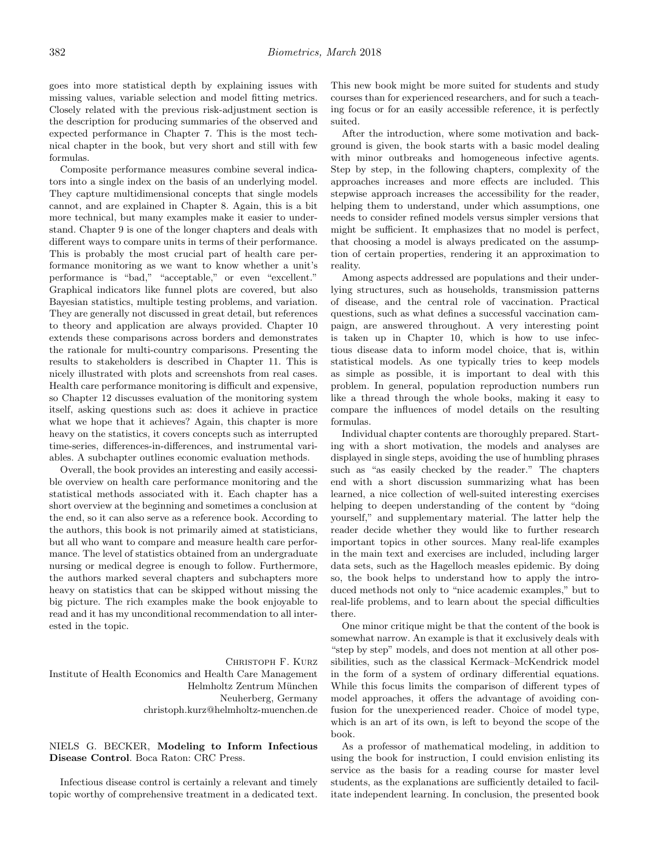goes into more statistical depth by explaining issues with missing values, variable selection and model fitting metrics. Closely related with the previous risk-adjustment section is the description for producing summaries of the observed and expected performance in Chapter 7. This is the most technical chapter in the book, but very short and still with few formulas.

Composite performance measures combine several indicators into a single index on the basis of an underlying model. They capture multidimensional concepts that single models cannot, and are explained in Chapter 8. Again, this is a bit more technical, but many examples make it easier to understand. Chapter 9 is one of the longer chapters and deals with different ways to compare units in terms of their performance. This is probably the most crucial part of health care performance monitoring as we want to know whether a unit's performance is "bad," "acceptable," or even "excellent." Graphical indicators like funnel plots are covered, but also Bayesian statistics, multiple testing problems, and variation. They are generally not discussed in great detail, but references to theory and application are always provided. Chapter 10 extends these comparisons across borders and demonstrates the rationale for multi-country comparisons. Presenting the results to stakeholders is described in Chapter 11. This is nicely illustrated with plots and screenshots from real cases. Health care performance monitoring is difficult and expensive, so Chapter 12 discusses evaluation of the monitoring system itself, asking questions such as: does it achieve in practice what we hope that it achieves? Again, this chapter is more heavy on the statistics, it covers concepts such as interrupted time-series, differences-in-differences, and instrumental variables. A subchapter outlines economic evaluation methods.

Overall, the book provides an interesting and easily accessible overview on health care performance monitoring and the statistical methods associated with it. Each chapter has a short overview at the beginning and sometimes a conclusion at the end, so it can also serve as a reference book. According to the authors, this book is not primarily aimed at statisticians, but all who want to compare and measure health care performance. The level of statistics obtained from an undergraduate nursing or medical degree is enough to follow. Furthermore, the authors marked several chapters and subchapters more heavy on statistics that can be skipped without missing the big picture. The rich examples make the book enjoyable to read and it has my unconditional recommendation to all interested in the topic.

Christoph F. Kurz Institute of Health Economics and Health Care Management Helmholtz Zentrum München Neuherberg, Germany christoph.kurz@helmholtz-muenchen.de

#### NIELS G. BECKER, **Modeling to Inform Infectious Disease Control**. Boca Raton: CRC Press.

Infectious disease control is certainly a relevant and timely topic worthy of comprehensive treatment in a dedicated text. This new book might be more suited for students and study courses than for experienced researchers, and for such a teaching focus or for an easily accessible reference, it is perfectly suited.

After the introduction, where some motivation and background is given, the book starts with a basic model dealing with minor outbreaks and homogeneous infective agents. Step by step, in the following chapters, complexity of the approaches increases and more effects are included. This stepwise approach increases the accessibility for the reader, helping them to understand, under which assumptions, one needs to consider refined models versus simpler versions that might be sufficient. It emphasizes that no model is perfect, that choosing a model is always predicated on the assumption of certain properties, rendering it an approximation to reality.

Among aspects addressed are populations and their underlying structures, such as households, transmission patterns of disease, and the central role of vaccination. Practical questions, such as what defines a successful vaccination campaign, are answered throughout. A very interesting point is taken up in Chapter 10, which is how to use infectious disease data to inform model choice, that is, within statistical models. As one typically tries to keep models as simple as possible, it is important to deal with this problem. In general, population reproduction numbers run like a thread through the whole books, making it easy to compare the influences of model details on the resulting formulas.

Individual chapter contents are thoroughly prepared. Starting with a short motivation, the models and analyses are displayed in single steps, avoiding the use of humbling phrases such as "as easily checked by the reader." The chapters end with a short discussion summarizing what has been learned, a nice collection of well-suited interesting exercises helping to deepen understanding of the content by "doing yourself," and supplementary material. The latter help the reader decide whether they would like to further research important topics in other sources. Many real-life examples in the main text and exercises are included, including larger data sets, such as the Hagelloch measles epidemic. By doing so, the book helps to understand how to apply the introduced methods not only to "nice academic examples," but to real-life problems, and to learn about the special difficulties there.

One minor critique might be that the content of the book is somewhat narrow. An example is that it exclusively deals with "step by step" models, and does not mention at all other possibilities, such as the classical Kermack–McKendrick model in the form of a system of ordinary differential equations. While this focus limits the comparison of different types of model approaches, it offers the advantage of avoiding confusion for the unexperienced reader. Choice of model type, which is an art of its own, is left to beyond the scope of the book.

As a professor of mathematical modeling, in addition to using the book for instruction, I could envision enlisting its service as the basis for a reading course for master level students, as the explanations are sufficiently detailed to facilitate independent learning. In conclusion, the presented book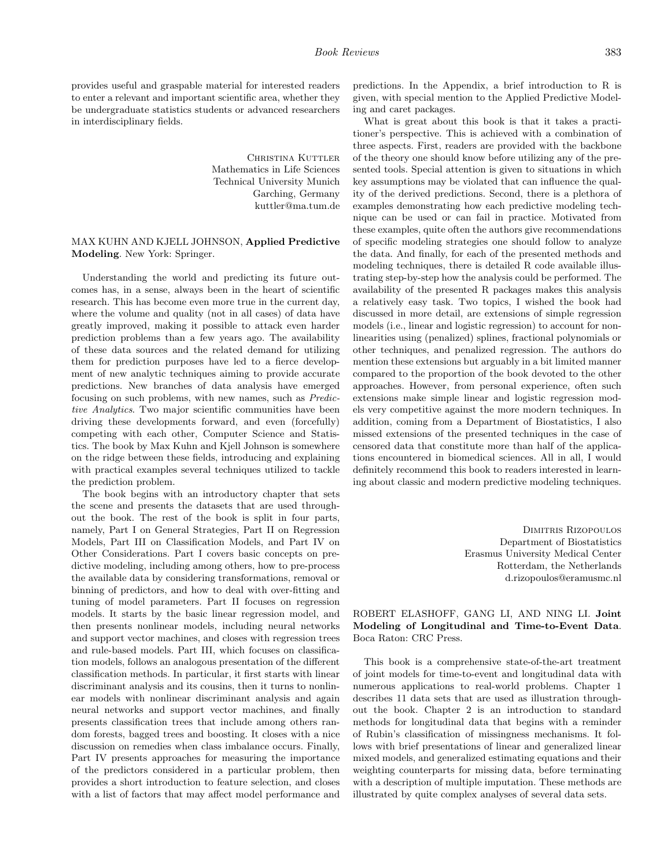provides useful and graspable material for interested readers to enter a relevant and important scientific area, whether they be undergraduate statistics students or advanced researchers in interdisciplinary fields.

> Christina Kuttler Mathematics in Life Sciences Technical University Munich Garching, Germany kuttler@ma.tum.de

#### MAX KUHN AND KJELL JOHNSON, **Applied Predictive Modeling**. New York: Springer.

Understanding the world and predicting its future outcomes has, in a sense, always been in the heart of scientific research. This has become even more true in the current day, where the volume and quality (not in all cases) of data have greatly improved, making it possible to attack even harder prediction problems than a few years ago. The availability of these data sources and the related demand for utilizing them for prediction purposes have led to a fierce development of new analytic techniques aiming to provide accurate predictions. New branches of data analysis have emerged focusing on such problems, with new names, such as Predictive Analytics. Two major scientific communities have been driving these developments forward, and even (forcefully) competing with each other, Computer Science and Statistics. The book by Max Kuhn and Kjell Johnson is somewhere on the ridge between these fields, introducing and explaining with practical examples several techniques utilized to tackle the prediction problem.

The book begins with an introductory chapter that sets the scene and presents the datasets that are used throughout the book. The rest of the book is split in four parts, namely, Part I on General Strategies, Part II on Regression Models, Part III on Classification Models, and Part IV on Other Considerations. Part I covers basic concepts on predictive modeling, including among others, how to pre-process the available data by considering transformations, removal or binning of predictors, and how to deal with over-fitting and tuning of model parameters. Part II focuses on regression models. It starts by the basic linear regression model, and then presents nonlinear models, including neural networks and support vector machines, and closes with regression trees and rule-based models. Part III, which focuses on classification models, follows an analogous presentation of the different classification methods. In particular, it first starts with linear discriminant analysis and its cousins, then it turns to nonlinear models with nonlinear discriminant analysis and again neural networks and support vector machines, and finally presents classification trees that include among others random forests, bagged trees and boosting. It closes with a nice discussion on remedies when class imbalance occurs. Finally, Part IV presents approaches for measuring the importance of the predictors considered in a particular problem, then provides a short introduction to feature selection, and closes with a list of factors that may affect model performance and

predictions. In the Appendix, a brief introduction to R is given, with special mention to the Applied Predictive Modeling and caret packages.

What is great about this book is that it takes a practitioner's perspective. This is achieved with a combination of three aspects. First, readers are provided with the backbone of the theory one should know before utilizing any of the presented tools. Special attention is given to situations in which key assumptions may be violated that can influence the quality of the derived predictions. Second, there is a plethora of examples demonstrating how each predictive modeling technique can be used or can fail in practice. Motivated from these examples, quite often the authors give recommendations of specific modeling strategies one should follow to analyze the data. And finally, for each of the presented methods and modeling techniques, there is detailed R code available illustrating step-by-step how the analysis could be performed. The availability of the presented R packages makes this analysis a relatively easy task. Two topics, I wished the book had discussed in more detail, are extensions of simple regression models (i.e., linear and logistic regression) to account for nonlinearities using (penalized) splines, fractional polynomials or other techniques, and penalized regression. The authors do mention these extensions but arguably in a bit limited manner compared to the proportion of the book devoted to the other approaches. However, from personal experience, often such extensions make simple linear and logistic regression models very competitive against the more modern techniques. In addition, coming from a Department of Biostatistics, I also missed extensions of the presented techniques in the case of censored data that constitute more than half of the applications encountered in biomedical sciences. All in all, I would definitely recommend this book to readers interested in learning about classic and modern predictive modeling techniques.

> Dimitris Rizopoulos Department of Biostatistics Erasmus University Medical Center Rotterdam, the Netherlands d.rizopoulos@eramusmc.nl

ROBERT ELASHOFF, GANG LI, AND NING LI. **Joint Modeling of Longitudinal and Time-to-Event Data**. Boca Raton: CRC Press.

This book is a comprehensive state-of-the-art treatment of joint models for time-to-event and longitudinal data with numerous applications to real-world problems. Chapter 1 describes 11 data sets that are used as illustration throughout the book. Chapter 2 is an introduction to standard methods for longitudinal data that begins with a reminder of Rubin's classification of missingness mechanisms. It follows with brief presentations of linear and generalized linear mixed models, and generalized estimating equations and their weighting counterparts for missing data, before terminating with a description of multiple imputation. These methods are illustrated by quite complex analyses of several data sets.